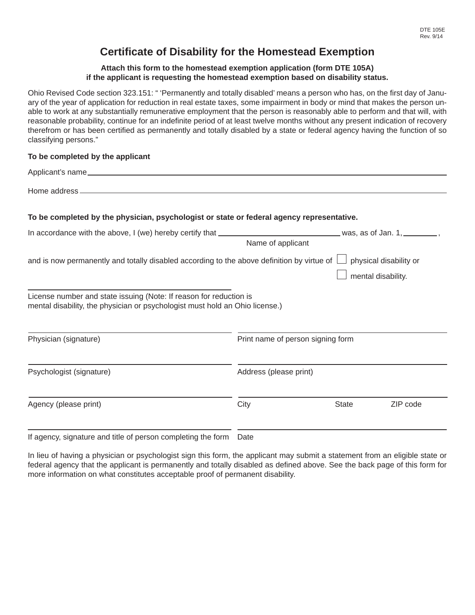# **Certifi cate of Disability for the Homestead Exemption**

#### **Attach this form to the homestead exemption application (form DTE 105A) if the applicant is requesting the homestead exemption based on disability status.**

Ohio Revised Code section 323.151: " 'Permanently and totally disabled' means a person who has, on the first day of January of the year of application for reduction in real estate taxes, some impairment in body or mind that makes the person unable to work at any substantially remunerative employment that the person is reasonably able to perform and that will, with reasonable probability, continue for an indefinite period of at least twelve months without any present indication of recovery therefrom or has been certified as permanently and totally disabled by a state or federal agency having the function of so classifying persons."

### **To be completed by the applicant**

| Applicant's name                                                                                                                                   |                                   |                                              |
|----------------------------------------------------------------------------------------------------------------------------------------------------|-----------------------------------|----------------------------------------------|
|                                                                                                                                                    |                                   |                                              |
| To be completed by the physician, psychologist or state or federal agency representative.                                                          |                                   |                                              |
|                                                                                                                                                    | Name of applicant                 |                                              |
| and is now permanently and totally disabled according to the above definition by virtue of $\Box$                                                  |                                   | physical disability or<br>mental disability. |
| License number and state issuing (Note: If reason for reduction is<br>mental disability, the physician or psychologist must hold an Ohio license.) |                                   |                                              |
| Physician (signature)                                                                                                                              | Print name of person signing form |                                              |
| Psychologist (signature)                                                                                                                           | Address (please print)            |                                              |
| Agency (please print)                                                                                                                              | City                              | <b>State</b><br>ZIP code                     |
|                                                                                                                                                    |                                   |                                              |

If agency, signature and title of person completing the form Date

In lieu of having a physician or psychologist sign this form, the applicant may submit a statement from an eligible state or federal agency that the applicant is permanently and totally disabled as defined above. See the back page of this form for more information on what constitutes acceptable proof of permanent disability.